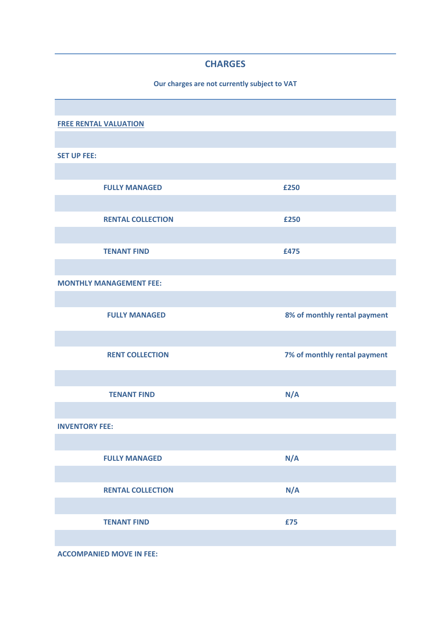## **CHARGES**

## **Our charges are not currently subject to VAT**

| <b>FREE RENTAL VALUATION</b>   |                              |
|--------------------------------|------------------------------|
|                                |                              |
| <b>SET UP FEE:</b>             |                              |
|                                |                              |
| <b>FULLY MANAGED</b>           | £250                         |
|                                |                              |
| <b>RENTAL COLLECTION</b>       | £250                         |
|                                |                              |
| <b>TENANT FIND</b>             | £475                         |
|                                |                              |
| <b>MONTHLY MANAGEMENT FEE:</b> |                              |
|                                |                              |
| <b>FULLY MANAGED</b>           | 8% of monthly rental payment |
|                                |                              |
| <b>RENT COLLECTION</b>         | 7% of monthly rental payment |
|                                |                              |
|                                |                              |
| <b>TENANT FIND</b>             | N/A                          |
|                                |                              |
| <b>INVENTORY FEE:</b>          |                              |
|                                |                              |
| <b>FULLY MANAGED</b>           | N/A                          |
|                                |                              |
| <b>RENTAL COLLECTION</b>       | N/A                          |
|                                |                              |
| <b>TENANT FIND</b>             | £75                          |
|                                |                              |

**ACCOMPANIED MOVE IN FEE:**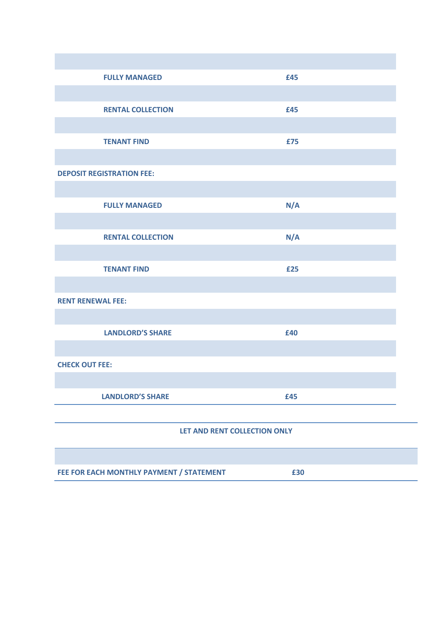| <b>FULLY MANAGED</b>             | £45 |  |  |
|----------------------------------|-----|--|--|
|                                  |     |  |  |
| <b>RENTAL COLLECTION</b>         | £45 |  |  |
|                                  |     |  |  |
| <b>TENANT FIND</b>               | £75 |  |  |
|                                  |     |  |  |
| <b>DEPOSIT REGISTRATION FEE:</b> |     |  |  |
|                                  |     |  |  |
| <b>FULLY MANAGED</b>             | N/A |  |  |
|                                  |     |  |  |
| <b>RENTAL COLLECTION</b>         | N/A |  |  |
|                                  |     |  |  |
| <b>TENANT FIND</b>               | £25 |  |  |
|                                  |     |  |  |
| <b>RENT RENEWAL FEE:</b>         |     |  |  |
|                                  |     |  |  |
| <b>LANDLORD'S SHARE</b>          | £40 |  |  |
|                                  |     |  |  |
| <b>CHECK OUT FEE:</b>            |     |  |  |
|                                  |     |  |  |
| <b>LANDLORD'S SHARE</b>          | £45 |  |  |
|                                  |     |  |  |
| LET AND RENT COLLECTION ONLY     |     |  |  |
|                                  |     |  |  |
|                                  |     |  |  |

**FEE FOR EACH MONTHLY PAYMENT / STATEMENT £30**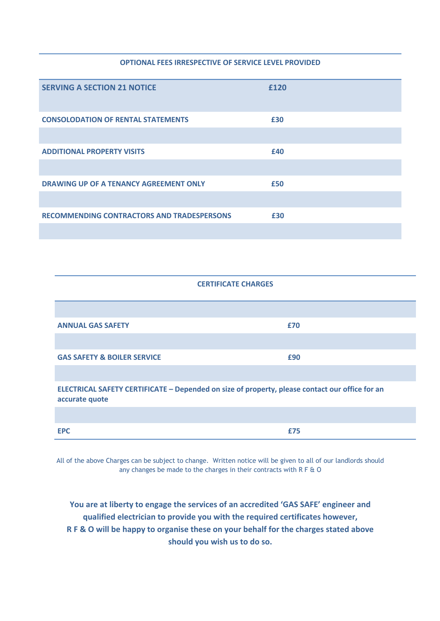## **OPTIONAL FEES IRRESPECTIVE OF SERVICE LEVEL PROVIDED**

| <b>SERVING A SECTION 21 NOTICE</b>         | £120 |  |
|--------------------------------------------|------|--|
| <b>CONSOLODATION OF RENTAL STATEMENTS</b>  | £30  |  |
| <b>ADDITIONAL PROPERTY VISITS</b>          | £40  |  |
|                                            |      |  |
| DRAWING UP OF A TENANCY AGREEMENT ONLY     | £50  |  |
| RECOMMENDING CONTRACTORS AND TRADESPERSONS | £30  |  |

| <b>CERTIFICATE CHARGES</b>             |     |  |
|----------------------------------------|-----|--|
|                                        |     |  |
| <b>ANNUAL GAS SAFETY</b>               | £70 |  |
|                                        |     |  |
| <b>GAS SAFETY &amp; BOILER SERVICE</b> | £90 |  |
|                                        |     |  |

**ELECTRICAL SAFETY CERTIFICATE – Depended on size of property, please contact our office for an accurate quote**

| -- | ___ |  |
|----|-----|--|

All of the above Charges can be subject to change. Written notice will be given to all of our landlords should any changes be made to the charges in their contracts with R F & O

**You are at liberty to engage the services of an accredited 'GAS SAFE' engineer and qualified electrician to provide you with the required certificates however, R F & O will be happy to organise these on your behalf for the charges stated above should you wish us to do so.**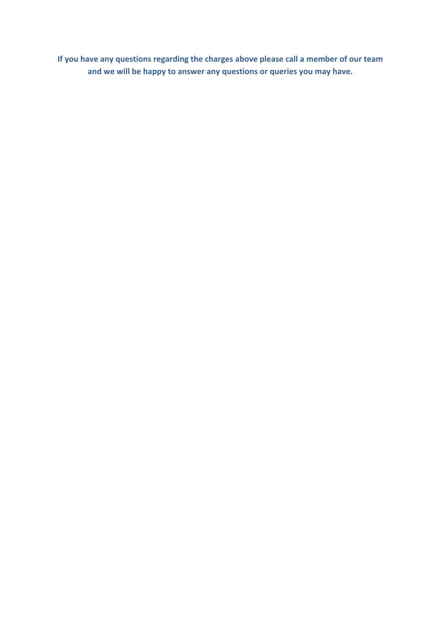**If you have any questions regarding the charges above please call a member of our team and we will be happy to answer any questions or queries you may have.**